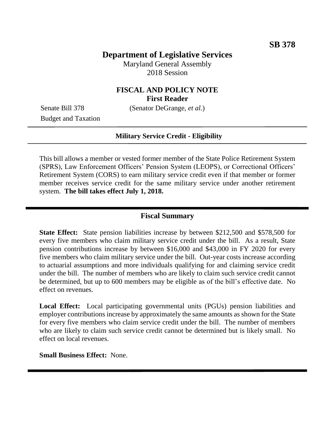# **Department of Legislative Services**

Maryland General Assembly 2018 Session

# **FISCAL AND POLICY NOTE First Reader**

Budget and Taxation

Senate Bill 378 (Senator DeGrange, *et al.*)

#### **Military Service Credit - Eligibility**

This bill allows a member or vested former member of the State Police Retirement System (SPRS), Law Enforcement Officers' Pension System (LEOPS), or Correctional Officers' Retirement System (CORS) to earn military service credit even if that member or former member receives service credit for the same military service under another retirement system. **The bill takes effect July 1, 2018.**

#### **Fiscal Summary**

**State Effect:** State pension liabilities increase by between \$212,500 and \$578,500 for every five members who claim military service credit under the bill. As a result, State pension contributions increase by between \$16,000 and \$43,000 in FY 2020 for every five members who claim military service under the bill. Out-year costs increase according to actuarial assumptions and more individuals qualifying for and claiming service credit under the bill. The number of members who are likely to claim such service credit cannot be determined, but up to 600 members may be eligible as of the bill's effective date. No effect on revenues.

**Local Effect:** Local participating governmental units (PGUs) pension liabilities and employer contributions increase by approximately the same amounts as shown for the State for every five members who claim service credit under the bill. The number of members who are likely to claim such service credit cannot be determined but is likely small. No effect on local revenues.

**Small Business Effect:** None.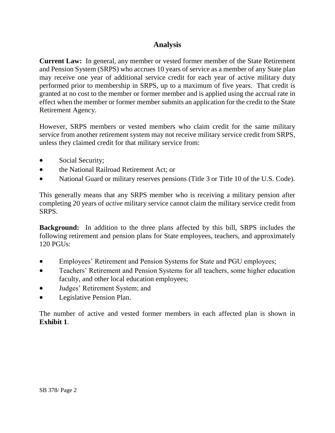# **Analysis**

**Current Law:** In general, any member or vested former member of the State Retirement and Pension System (SRPS) who accrues 10 years of service as a member of any State plan may receive one year of additional service credit for each year of active military duty performed prior to membership in SRPS, up to a maximum of five years. That credit is granted at no cost to the member or former member and is applied using the accrual rate in effect when the member or former member submits an application for the credit to the State Retirement Agency.

However, SRPS members or vested members who claim credit for the same military service from another retirement system may not receive military service credit from SRPS, unless they claimed credit for that military service from:

- Social Security;
- the National Railroad Retirement Act; or
- National Guard or military reserves pensions (Title 3 or Title 10 of the U.S. Code).

This generally means that any SRPS member who is receiving a military pension after completing 20 years of *active* military service cannot claim the military service credit from SRPS.

**Background:** In addition to the three plans affected by this bill, SRPS includes the following retirement and pension plans for State employees, teachers, and approximately 120 PGUs:

- Employees' Retirement and Pension Systems for State and PGU employees;
- Teachers' Retirement and Pension Systems for all teachers, some higher education faculty, and other local education employees;
- Judges' Retirement System; and
- Legislative Pension Plan.

The number of active and vested former members in each affected plan is shown in **Exhibit 1**.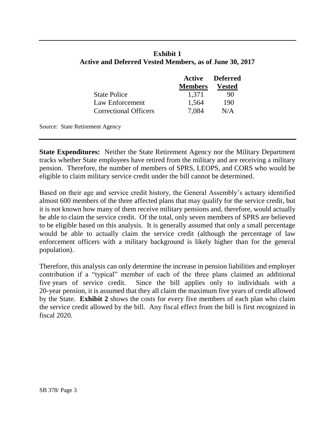|                              | Active<br><b>Members</b> | <b>Deferred</b><br>Vested |
|------------------------------|--------------------------|---------------------------|
| <b>State Police</b>          | 1,371                    | 90                        |
| Law Enforcement              | 1,564                    | 190                       |
| <b>Correctional Officers</b> | 7,084                    | N/A                       |

#### **Exhibit 1 Active and Deferred Vested Members, as of June 30, 2017**

Source: State Retirement Agency

**State Expenditures:** Neither the State Retirement Agency nor the Military Department tracks whether State employees have retired from the military and are receiving a military pension. Therefore, the number of members of SPRS, LEOPS, and CORS who would be eligible to claim military service credit under the bill cannot be determined.

Based on their age and service credit history, the General Assembly's actuary identified almost 600 members of the three affected plans that may qualify for the service credit, but it is not known how many of them receive military pensions and, therefore, would actually be able to claim the service credit. Of the total, only seven members of SPRS are believed to be eligible based on this analysis. It is generally assumed that only a small percentage would be able to actually claim the service credit (although the percentage of law enforcement officers with a military background is likely higher than for the general population).

Therefore, this analysis can only determine the increase in pension liabilities and employer contribution if a "typical" member of each of the three plans claimed an additional five years of service credit. Since the bill applies only to individuals with a 20-year pension, it is assumed that they all claim the maximum five years of credit allowed by the State. **Exhibit 2** shows the costs for every five members of each plan who claim the service credit allowed by the bill. Any fiscal effect from the bill is first recognized in fiscal 2020.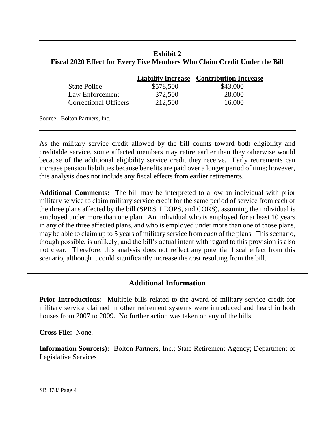## **Exhibit 2 Fiscal 2020 Effect for Every Five Members Who Claim Credit Under the Bill**

|                              |           | <b>Liability Increase</b> Contribution Increase |
|------------------------------|-----------|-------------------------------------------------|
| <b>State Police</b>          | \$578,500 | \$43,000                                        |
| Law Enforcement              | 372,500   | 28,000                                          |
| <b>Correctional Officers</b> | 212,500   | 16,000                                          |

Source: Bolton Partners, Inc.

As the military service credit allowed by the bill counts toward both eligibility and creditable service, some affected members may retire earlier than they otherwise would because of the additional eligibility service credit they receive. Early retirements can increase pension liabilities because benefits are paid over a longer period of time; however, this analysis does not include any fiscal effects from earlier retirements.

**Additional Comments:** The bill may be interpreted to allow an individual with prior military service to claim military service credit for the same period of service from each of the three plans affected by the bill (SPRS, LEOPS, and CORS), assuming the individual is employed under more than one plan. An individual who is employed for at least 10 years in any of the three affected plans, and who is employed under more than one of those plans, may be able to claim up to 5 years of military service from *each* of the plans. This scenario, though possible, is unlikely, and the bill's actual intent with regard to this provision is also not clear. Therefore, this analysis does not reflect any potential fiscal effect from this scenario, although it could significantly increase the cost resulting from the bill.

# **Additional Information**

**Prior Introductions:** Multiple bills related to the award of military service credit for military service claimed in other retirement systems were introduced and heard in both houses from 2007 to 2009. No further action was taken on any of the bills.

**Cross File:** None.

**Information Source(s):** Bolton Partners, Inc.; State Retirement Agency; Department of Legislative Services